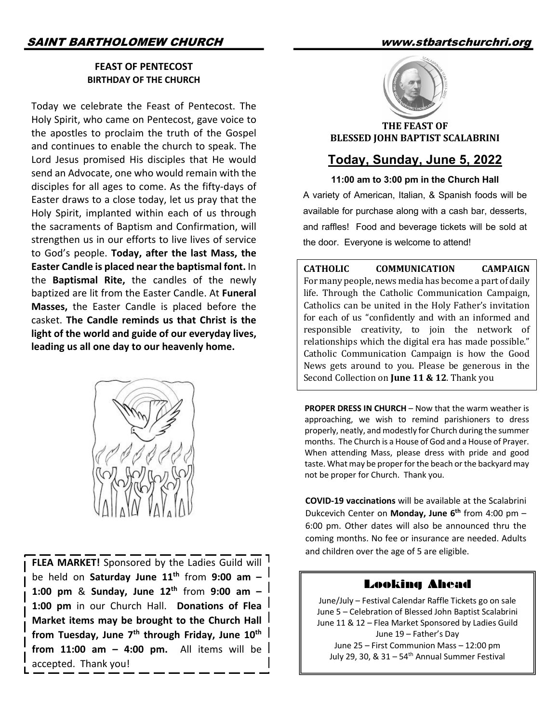#### **FEAST OF PENTECOST BIRTHDAY OF THE CHURCH**

Today we celebrate the Feast of Pentecost. The Holy Spirit, who came on Pentecost, gave voice to the apostles to proclaim the truth of the Gospel and continues to enable the church to speak. The Lord Jesus promised His disciples that He would send an Advocate, one who would remain with the disciples for all ages to come. As the fifty-days of Easter draws to a close today, let us pray that the Holy Spirit, implanted within each of us through the sacraments of Baptism and Confirmation, will strengthen us in our efforts to live lives of service to God's people. **Today, after the last Mass, the Easter Candle is placed near the baptismal font.** In the **Baptismal Rite,** the candles of the newly baptized are lit from the Easter Candle. At **Funeral Masses,** the Easter Candle is placed before the casket. **The Candle reminds us that Christ is the light of the world and guide of our everyday lives, leading us all one day to our heavenly home.** 



**FLEA MARKET!** Sponsored by the Ladies Guild will be held on **Saturday June 11th** from **9:00 am – 1:00 pm** & **Sunday, June 12th** from **9:00 am – 1:00 pm** in our Church Hall. **Donations of Flea Market items may be brought to the Church Hall**  from Tuesday, June 7<sup>th</sup> through Friday, June 10<sup>th</sup> **from 11:00 am – 4:00 pm.** All items will be accepted. Thank you!



**THE FEAST OF BLESSED JOHN BAPTIST SCALABRINI** 

# **Today, Sunday, June 5, 2022**

**11:00 am to 3:00 pm in the Church Hall** A variety of American, Italian, & Spanish foods will be available for purchase along with a cash bar, desserts, and raffles! Food and beverage tickets will be sold at the door. Everyone is welcome to attend!

**CATHOLIC COMMUNICATION CAMPAIGN** For many people, news media has become a part of daily life. Through the Catholic Communication Campaign, Catholics can be united in the Holy Father's invitation for each of us "confidently and with an informed and responsible creativity, to join the network of relationships which the digital era has made possible." Catholic Communication Campaign is how the Good News gets around to you. Please be generous in the Second Collection on **June 11 & 12**. Thank you

**PROPER DRESS IN CHURCH** – Now that the warm weather is approaching, we wish to remind parishioners to dress properly, neatly, and modestly for Church during the summer months. The Church is a House of God and a House of Prayer. When attending Mass, please dress with pride and good taste. What may be proper for the beach or the backyard may not be proper for Church. Thank you.

**COVID-19 vaccinations** will be available at the Scalabrini Dukcevich Center on **Monday, June 6th** from 4:00 pm – 6:00 pm. Other dates will also be announced thru the coming months. No fee or insurance are needed. Adults and children over the age of 5 are eligible.

## Looking Ahead

June/July – Festival Calendar Raffle Tickets go on sale June 5 – Celebration of Blessed John Baptist Scalabrini June 11 & 12 – Flea Market Sponsored by Ladies Guild June 19 – Father's Day June 25 – First Communion Mass – 12:00 pm July 29, 30,  $\&$  31 – 54<sup>th</sup> Annual Summer Festival